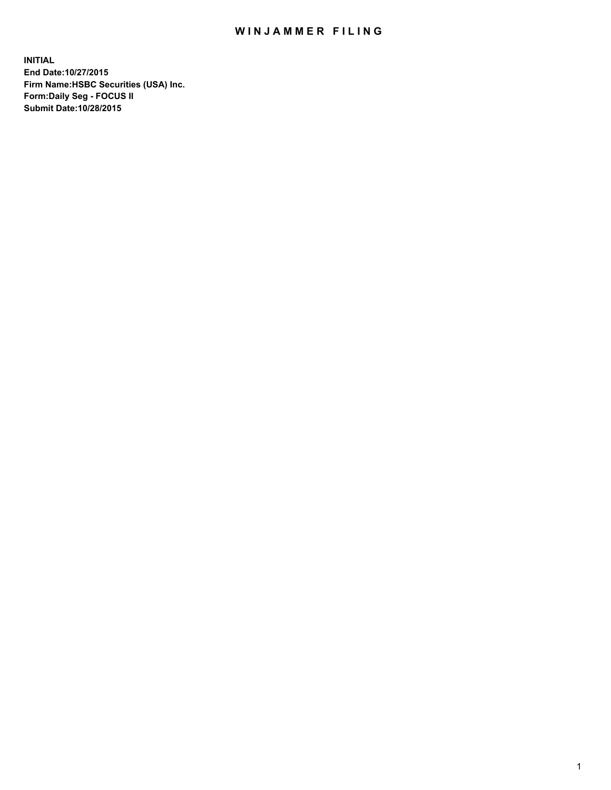## WIN JAMMER FILING

**INITIAL End Date:10/27/2015 Firm Name:HSBC Securities (USA) Inc. Form:Daily Seg - FOCUS II Submit Date:10/28/2015**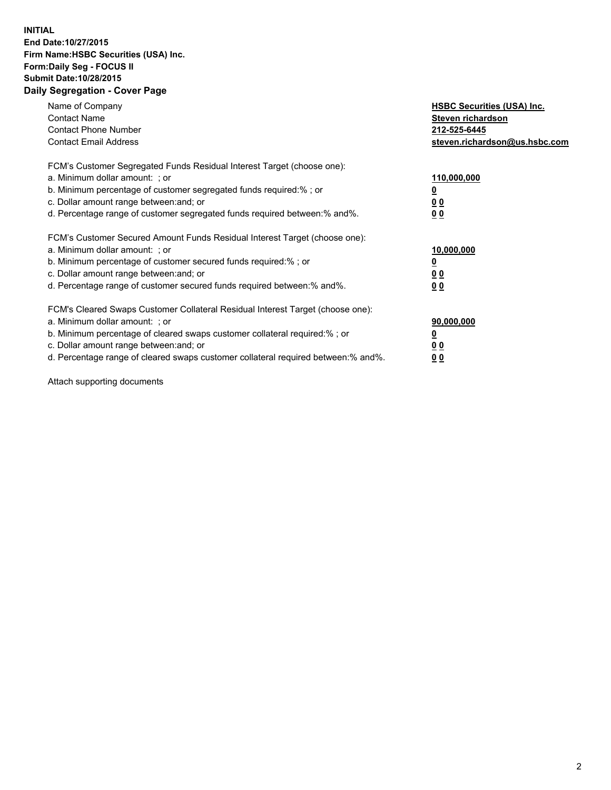## **INITIAL End Date:10/27/2015 Firm Name:HSBC Securities (USA) Inc. Form:Daily Seg - FOCUS II Submit Date:10/28/2015 Daily Segregation - Cover Page**

| Name of Company<br><b>Contact Name</b><br><b>Contact Phone Number</b><br><b>Contact Email Address</b>                                                                                                                                                                                                                         | <b>HSBC Securities (USA) Inc.</b><br>Steven richardson<br>212-525-6445<br>steven.richardson@us.hsbc.com |
|-------------------------------------------------------------------------------------------------------------------------------------------------------------------------------------------------------------------------------------------------------------------------------------------------------------------------------|---------------------------------------------------------------------------------------------------------|
| FCM's Customer Segregated Funds Residual Interest Target (choose one):<br>a. Minimum dollar amount: ; or<br>b. Minimum percentage of customer segregated funds required: % ; or<br>c. Dollar amount range between: and; or<br>d. Percentage range of customer segregated funds required between:% and%.                       | 110,000,000<br><u>0</u><br>0 <sub>0</sub><br>0 <sub>0</sub>                                             |
| FCM's Customer Secured Amount Funds Residual Interest Target (choose one):<br>a. Minimum dollar amount: ; or<br>b. Minimum percentage of customer secured funds required:%; or<br>c. Dollar amount range between: and; or<br>d. Percentage range of customer secured funds required between:% and%.                           | 10,000,000<br><u>0</u><br>0 <sub>0</sub><br>0 <sub>0</sub>                                              |
| FCM's Cleared Swaps Customer Collateral Residual Interest Target (choose one):<br>a. Minimum dollar amount: ; or<br>b. Minimum percentage of cleared swaps customer collateral required:%; or<br>c. Dollar amount range between: and; or<br>d. Percentage range of cleared swaps customer collateral required between:% and%. | 90,000,000<br><u>0</u><br>0 <sub>0</sub><br>0 <sub>0</sub>                                              |

Attach supporting documents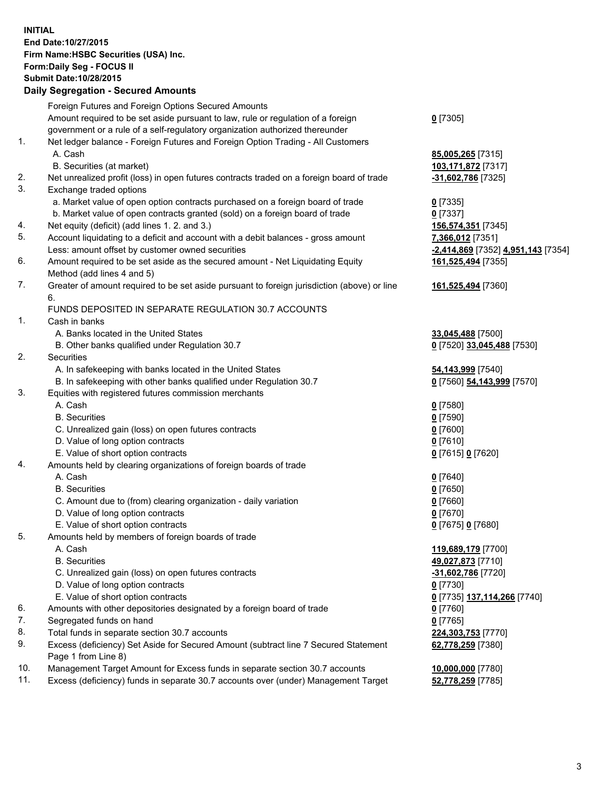**INITIAL End Date:10/27/2015 Firm Name:HSBC Securities (USA) Inc. Form:Daily Seg - FOCUS II Submit Date:10/28/2015**

## **Daily Segregation - Secured Amounts**

|     | Foreign Futures and Foreign Options Secured Amounts                                                        |                                    |
|-----|------------------------------------------------------------------------------------------------------------|------------------------------------|
|     | Amount required to be set aside pursuant to law, rule or regulation of a foreign                           | $0$ [7305]                         |
|     | government or a rule of a self-regulatory organization authorized thereunder                               |                                    |
| 1.  | Net ledger balance - Foreign Futures and Foreign Option Trading - All Customers                            |                                    |
|     | A. Cash                                                                                                    | 85,005,265 [7315]                  |
|     | B. Securities (at market)                                                                                  | 103,171,872 [7317]                 |
| 2.  | Net unrealized profit (loss) in open futures contracts traded on a foreign board of trade                  | -31,602,786 [7325]                 |
| 3.  | Exchange traded options                                                                                    |                                    |
|     | a. Market value of open option contracts purchased on a foreign board of trade                             | $0$ [7335]                         |
|     | b. Market value of open contracts granted (sold) on a foreign board of trade                               | $0$ [7337]                         |
| 4.  | Net equity (deficit) (add lines 1.2. and 3.)                                                               | 156,574,351 [7345]                 |
| 5.  | Account liquidating to a deficit and account with a debit balances - gross amount                          | 7,366,012 [7351]                   |
|     | Less: amount offset by customer owned securities                                                           | -2,414,869 [7352] 4,951,143 [7354] |
| 6.  | Amount required to be set aside as the secured amount - Net Liquidating Equity                             | 161,525,494 [7355]                 |
|     | Method (add lines 4 and 5)                                                                                 |                                    |
| 7.  | Greater of amount required to be set aside pursuant to foreign jurisdiction (above) or line                | 161,525,494 [7360]                 |
|     | 6.                                                                                                         |                                    |
|     | FUNDS DEPOSITED IN SEPARATE REGULATION 30.7 ACCOUNTS                                                       |                                    |
| 1.  | Cash in banks                                                                                              |                                    |
|     | A. Banks located in the United States                                                                      | 33,045,488 [7500]                  |
|     | B. Other banks qualified under Regulation 30.7                                                             | 0 [7520] 33,045,488 [7530]         |
| 2.  | Securities                                                                                                 |                                    |
|     | A. In safekeeping with banks located in the United States                                                  | 54,143,999 [7540]                  |
|     | B. In safekeeping with other banks qualified under Regulation 30.7                                         | 0 [7560] 54,143,999 [7570]         |
| 3.  | Equities with registered futures commission merchants                                                      |                                    |
|     | A. Cash                                                                                                    | $0$ [7580]                         |
|     | <b>B.</b> Securities                                                                                       | $0$ [7590]                         |
|     | C. Unrealized gain (loss) on open futures contracts                                                        | $0$ [7600]                         |
|     | D. Value of long option contracts                                                                          | $0$ [7610]                         |
|     | E. Value of short option contracts                                                                         | 0 [7615] 0 [7620]                  |
| 4.  | Amounts held by clearing organizations of foreign boards of trade                                          |                                    |
|     | A. Cash                                                                                                    | 0 [7640]                           |
|     | <b>B.</b> Securities                                                                                       | $0$ [7650]                         |
|     | C. Amount due to (from) clearing organization - daily variation                                            | $0$ [7660]                         |
|     | D. Value of long option contracts                                                                          | $0$ [7670]                         |
|     | E. Value of short option contracts                                                                         | 0 [7675] 0 [7680]                  |
| 5.  | Amounts held by members of foreign boards of trade                                                         |                                    |
|     | A. Cash                                                                                                    | 119,689,179 [7700]                 |
|     | <b>B.</b> Securities                                                                                       | 49,027,873 [7710]                  |
|     | C. Unrealized gain (loss) on open futures contracts                                                        | $-31,602,786$ [7720]               |
|     | D. Value of long option contracts                                                                          | $0$ [7730]                         |
|     | E. Value of short option contracts                                                                         | 0 [7735] 137,114,266 [7740]        |
| 6.  | Amounts with other depositories designated by a foreign board of trade                                     | $0$ [7760]                         |
| 7.  | Segregated funds on hand                                                                                   | $0$ [7765]                         |
| 8.  | Total funds in separate section 30.7 accounts                                                              | 224,303,753 [7770]                 |
| 9.  | Excess (deficiency) Set Aside for Secured Amount (subtract line 7 Secured Statement<br>Page 1 from Line 8) | 62,778,259 [7380]                  |
| 10. | Management Target Amount for Excess funds in separate section 30.7 accounts                                | 10,000,000 [7780]                  |
| 11. | Excess (deficiency) funds in separate 30.7 accounts over (under) Management Target                         | 52,778,259 [7785]                  |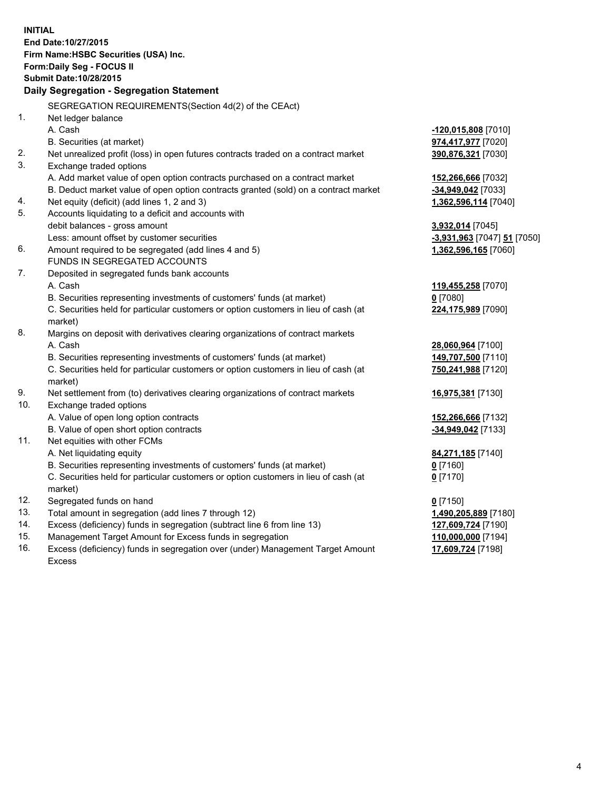|     | <b>INITIAL</b><br>End Date: 10/27/2015<br>Firm Name: HSBC Securities (USA) Inc.                |                             |
|-----|------------------------------------------------------------------------------------------------|-----------------------------|
|     | Form: Daily Seg - FOCUS II                                                                     |                             |
|     | Submit Date: 10/28/2015                                                                        |                             |
|     | Daily Segregation - Segregation Statement                                                      |                             |
|     | SEGREGATION REQUIREMENTS(Section 4d(2) of the CEAct)                                           |                             |
| 1.  | Net ledger balance                                                                             |                             |
|     | A. Cash                                                                                        | -120,015,808 [7010]         |
|     | B. Securities (at market)                                                                      | 974,417,977 [7020]          |
| 2.  | Net unrealized profit (loss) in open futures contracts traded on a contract market             | 390,876,321 [7030]          |
| 3.  | Exchange traded options                                                                        |                             |
|     | A. Add market value of open option contracts purchased on a contract market                    | 152,266,666 [7032]          |
|     | B. Deduct market value of open option contracts granted (sold) on a contract market            | -34,949,042 [7033]          |
| 4.  | Net equity (deficit) (add lines 1, 2 and 3)                                                    | 1,362,596,114 [7040]        |
| 5.  | Accounts liquidating to a deficit and accounts with                                            |                             |
|     | debit balances - gross amount                                                                  | 3,932,014 [7045]            |
|     | Less: amount offset by customer securities                                                     | -3,931,963 [7047] 51 [7050] |
| 6.  | Amount required to be segregated (add lines 4 and 5)                                           | 1,362,596,165 [7060]        |
|     | FUNDS IN SEGREGATED ACCOUNTS                                                                   |                             |
| 7.  | Deposited in segregated funds bank accounts                                                    |                             |
|     | A. Cash                                                                                        | 119,455,258 [7070]          |
|     | B. Securities representing investments of customers' funds (at market)                         | $0$ [7080]                  |
|     | C. Securities held for particular customers or option customers in lieu of cash (at<br>market) | 224,175,989 [7090]          |
| 8.  | Margins on deposit with derivatives clearing organizations of contract markets                 |                             |
|     | A. Cash                                                                                        | 28,060,964 [7100]           |
|     | B. Securities representing investments of customers' funds (at market)                         | 149,707,500 [7110]          |
|     | C. Securities held for particular customers or option customers in lieu of cash (at<br>market) | 750,241,988 [7120]          |
| 9.  | Net settlement from (to) derivatives clearing organizations of contract markets                | 16,975,381 [7130]           |
| 10. | Exchange traded options                                                                        |                             |
|     | A. Value of open long option contracts                                                         | 152,266,666 [7132]          |
|     | B. Value of open short option contracts                                                        | -34,949,042 [7133]          |
| 11. | Net equities with other FCMs                                                                   |                             |
|     | A. Net liquidating equity                                                                      | 84,271,185 [7140]           |
|     | B. Securities representing investments of customers' funds (at market)                         | $0$ [7160]                  |
|     | C. Securities held for particular customers or option customers in lieu of cash (at<br>market) | $0$ [7170]                  |
| 12. | Segregated funds on hand                                                                       | $0$ [7150]                  |
| 13. | Total amount in segregation (add lines 7 through 12)                                           | 1,490,205,889 [7180]        |
| 14. | Excess (deficiency) funds in segregation (subtract line 6 from line 13)                        | 127,609,724 [7190]          |
| 15. | Management Target Amount for Excess funds in segregation                                       | 110,000,000 [7194]          |
| 16. | Excess (deficiency) funds in segregation over (under) Management Target Amount                 | 17,609,724 [7198]           |

16. Excess (deficiency) funds in segregation over (under) Management Target Amount Excess